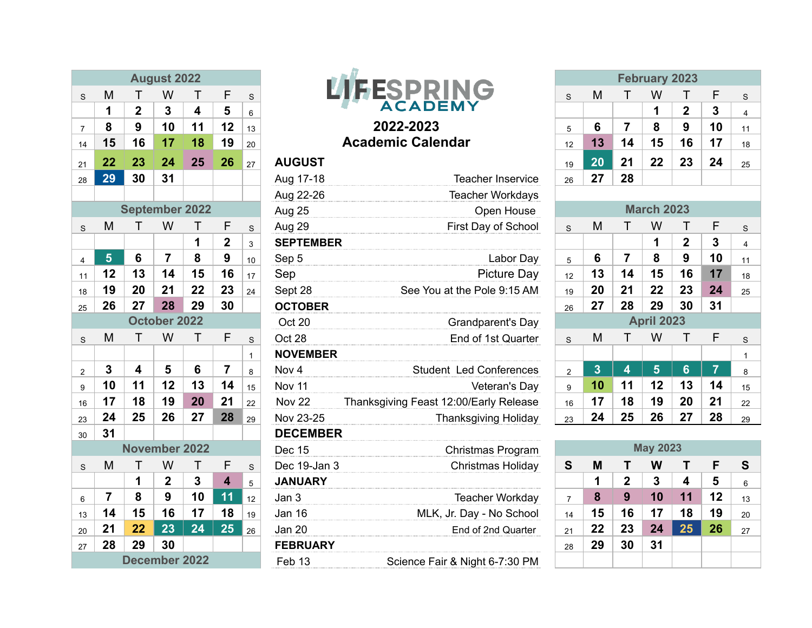|                |    |                         | <b>August 2022</b> |        |                 |              |                  |
|----------------|----|-------------------------|--------------------|--------|-----------------|--------------|------------------|
| S              | M  | T                       | W                  | Τ      | F               | S            |                  |
|                | 1  | $\overline{\mathbf{2}}$ | $\mathbf{3}$       | 4      | 5               | 6            |                  |
| 7              | 8  | 9                       | 10                 | 11     | 12              | 13           |                  |
| 14             | 15 | 16                      | 17                 | 18     | 19              | 20           |                  |
| 21             | 22 | 23                      | 24                 | 25     | 26              | 27           | <b>AUGUST</b>    |
| 28             | 29 | 30                      | 31                 |        |                 |              | Aug 17-18        |
|                |    |                         |                    |        |                 |              | Aug 22-26        |
|                |    | <b>September 2022</b>   |                    | Aug 25 |                 |              |                  |
| S              | M  | Τ                       | W                  | Τ      | F               | $\mathbf S$  | Aug 29           |
|                |    |                         |                    | 1      | $\overline{2}$  | 3            | <b>SEPTEMBER</b> |
| 4              | 5  | 6                       | $\overline{7}$     | 8      | 9               | 10           | Sep 5            |
| 11             | 12 | 13                      | 14                 | 15     | 16              | 17           | Sep              |
| 18             | 19 | 20                      | 21                 | 22     | 23              | 24           | Sept 28          |
| 25             | 26 | 27                      | 28                 | 29     | 30              |              | <b>OCTOBER</b>   |
|                |    |                         | October 2022       |        |                 |              | Oct 20           |
| $\mathbf S$    | M  | T                       | W                  | T      | F               | S            | Oct 28           |
|                |    |                         |                    |        |                 | $\mathbf{1}$ | <b>NOVEMBER</b>  |
| $\overline{2}$ | 3  | 4                       | 5                  | 6      | $\overline{7}$  | 8            | Nov 4            |
| 9              | 10 | 11                      | 12                 | 13     | 14              | 15           | Nov 11           |
| 16             | 17 | 18                      | 19                 | 20     | 21              | 22           | <b>Nov 22</b>    |
| 23             | 24 | 25                      | 26                 | 27     | 28              | 29           | Nov 23-25        |
| 30             | 31 |                         |                    |        |                 |              | <b>DECEMBER</b>  |
|                |    | <b>November 2022</b>    |                    |        |                 |              | <b>Dec 15</b>    |
| $\mathbf S$    | M  | Τ                       | W                  | T      | F               | $\mathbf S$  | Dec 19-Jan 3     |
|                |    | 1                       | $\boldsymbol{2}$   | 3      | 4               | 5            | <b>JANUARY</b>   |
| 6              | 7  | 8                       | 9                  | 10     | 11              | 12           | Jan 3            |
| 13             | 14 | 15                      | 16                 | 17     | 18              | 19           | Jan 16           |
| 20             | 21 | 22                      | 23                 | 24     | $2\overline{5}$ | 26           | Jan 20           |
| 27             | 28 | 29                      | 30                 |        |                 |              | <b>FEBRUARY</b>  |
|                |    | December 2022           |                    |        |                 |              | Fah 13           |



## Academic Calendar

| 28                    | 29             | 30                   | 31           |    |                |              | Aug 17-18         | <b>Teacher Inservice</b>               | 26             | 27                      | 28                      |                   |                |                |              |  |  |
|-----------------------|----------------|----------------------|--------------|----|----------------|--------------|-------------------|----------------------------------------|----------------|-------------------------|-------------------------|-------------------|----------------|----------------|--------------|--|--|
|                       |                |                      |              |    |                |              | Aug 22-26         | <b>Teacher Workdays</b>                |                |                         |                         |                   |                |                |              |  |  |
| <b>September 2022</b> |                |                      |              |    |                |              | Aug 25            | Open House                             |                |                         |                         | <b>March 2023</b> |                |                |              |  |  |
| S                     | M              |                      | W            |    | F              | S            | Aug 29            | First Day of School                    | $\mathbf S$    | M                       |                         | W                 |                | F              | S            |  |  |
|                       |                |                      |              | 1  | $\overline{2}$ | 3            | <b>SEPTEMBER</b>  |                                        |                |                         |                         | 1                 | $\mathbf 2$    | 3              | 4            |  |  |
| 4                     | 5 <sup>5</sup> | 6                    | 7            | 8  | 9              | 10           | Sep 5             | Labor Day                              | 5              | 6                       | $\overline{7}$          | 8                 | 9              | 10             | 11           |  |  |
| 11                    | 12             | 13                   | 14           | 15 | 16             | 17           | Sep               | Picture Day                            | 12             | 13                      | 14                      | 15                | 16             | 17             | 18           |  |  |
| 18                    | 19             | 20                   | 21           | 22 | 23             | 24           | Sept 28           | See You at the Pole 9:15 AM            | 19             | 20                      | 21                      | 22                | 23             | 24             | 25           |  |  |
| 25                    | 26             | 27                   | 28           | 29 | 30             |              | <b>OCTOBER</b>    |                                        | 26             | 27                      | 28                      | 29                | 30             | 31             |              |  |  |
|                       |                |                      | October 2022 |    |                |              | Oct 20            | Grandparent's Day                      |                |                         |                         | <b>April 2023</b> |                |                |              |  |  |
| S                     | M              | Τ                    | W            | Τ  | F              | S            | Oct 28            | End of 1st Quarter                     | S              | M                       |                         | W                 |                | F              | S            |  |  |
|                       |                |                      |              |    |                | $\mathbf{1}$ | <b>NOVEMBER</b>   |                                        |                |                         |                         |                   |                |                | $\mathbf{1}$ |  |  |
| $\overline{2}$        | 3              | 4                    | 5            | 6  | $\overline{7}$ | 8            | Nov <sub>4</sub>  | <b>Student Led Conferences</b>         | $\overline{2}$ | $\overline{\mathbf{3}}$ | 4                       | 5 <sup>5</sup>    | $6\phantom{1}$ | $\overline{7}$ | 8            |  |  |
| 9                     | 10             | 11                   | 12           | 13 | 14             | 15           | Nov 11            | Veteran's Day                          | 9              | 10                      | 11                      | 12                | 13             | 14             | 15           |  |  |
| 16                    | 17             | 18                   | 19           | 20 | 21             | 22           | Nov 22            | Thanksgiving Feast 12:00/Early Release | 16             | 17                      | 18                      | 19                | 20             | 21             | 22           |  |  |
| 23                    | 24             | 25                   | 26           | 27 | 28             | 29           | Nov 23-25         | <b>Thanksgiving Holiday</b>            | 23             | 24                      | 25                      | 26                | 27             | 28             | 29           |  |  |
| 30                    | 31             |                      |              |    |                |              | <b>DECEMBER</b>   |                                        |                |                         |                         |                   |                |                |              |  |  |
|                       |                | <b>November 2022</b> |              |    |                |              | <b>Dec 15</b>     | Christmas Program                      |                |                         | <b>May 2023</b>         |                   |                |                |              |  |  |
| S                     | M              |                      | W            | Τ  | F              | S            | Dec 19-Jan 3      | Christmas Holiday                      | S              | M                       |                         | W                 | Τ              | F              | S            |  |  |
|                       |                | 1                    | $\mathbf 2$  | 3  | 4              | 5            | <b>JANUARY</b>    |                                        |                | 1                       | $\overline{\mathbf{2}}$ | 3                 | 4              | 5              | 6            |  |  |
| 6                     | $\overline{7}$ | 8                    | 9            | 10 | 11             | 12           | Jan 3             | Teacher Workday                        | $\overline{7}$ | 8                       | 9                       | 10                | 11             | 12             | 13           |  |  |
| 13                    | 14             | 15                   | 16           | 17 | 18             | 19           | <b>Jan 16</b>     | MLK, Jr. Day - No School               | 14             | 15                      | 16                      | 17                | 18             | 19             | 20           |  |  |
| 20                    | 21             | 22                   | 23           | 24 | 25             | 26           | <b>Jan 20</b>     | End of 2nd Quarter                     | 21             | 22                      | 23                      | 24                | 25             | 26             | 27           |  |  |
| 27                    | 28             | 29                   | 30           |    |                |              | <b>FEBRUARY</b>   |                                        | 28             | 29                      | 30                      | 31                |                |                |              |  |  |
|                       | December 2022  |                      |              |    |                |              | Feb <sub>13</sub> | Science Fair & Night 6-7:30 PM         |                |                         |                         |                   |                |                |              |  |  |
|                       |                |                      |              |    |                |              |                   |                                        |                |                         |                         |                   |                |                |              |  |  |

| <b>August 2022</b> |    |    |    |    |    |    |                   | <b>February 2023</b>     |    |    |    |    |    |        |    |
|--------------------|----|----|----|----|----|----|-------------------|--------------------------|----|----|----|----|----|--------|----|
| S.                 | м  |    | W  |    |    | S. |                   |                          | S  | M  |    | W  |    |        |    |
|                    |    | 2  |    |    | 5  | 6  |                   | <b>ACADEMY</b>           |    |    |    | 1  | o  | ≏<br>J |    |
| $7^{\circ}$        | 8  | 9  | 10 |    | 12 | 13 |                   | 2022-2023                |    |    |    | 8  | 9  | 10     | 11 |
| 14                 | 15 | 16 |    |    | 19 | 20 |                   | <b>Academic Calendar</b> | 12 |    | 14 | 15 | 16 | 17     | 18 |
| 21                 | 22 | 23 | 24 | 25 | 26 | 27 | <b>AUGUST</b>     |                          | 19 | 20 | 21 | 22 | 23 | 24     | 25 |
| 28                 | 29 | 30 | 31 |    |    |    | Aug 17-18         | Teacher Inservice        | 26 |    | 28 |    |    |        |    |
|                    |    |    |    |    |    |    | $\Delta$ ug 22.26 | Topohor Workdove         |    |    |    |    |    |        |    |

|                | <b>March 2023</b> |    |                   |             |                |                         |  |  |  |  |
|----------------|-------------------|----|-------------------|-------------|----------------|-------------------------|--|--|--|--|
| S              | M                 | т  | W                 | Τ           | F              | S                       |  |  |  |  |
|                |                   |    | 1                 | $\mathbf 2$ | 3              | $\overline{\mathbf{4}}$ |  |  |  |  |
| 5              | 6                 | 7  | 8                 | 9           | 10             | 11                      |  |  |  |  |
| 12             | 13                | 14 | 15                | 16          | 17             | 18                      |  |  |  |  |
| 19             | 20                | 21 | 22                | 23          | 24             | 25                      |  |  |  |  |
| 26             | 27                | 28 | 29                | 30          | 31             |                         |  |  |  |  |
|                |                   |    | <b>April 2023</b> |             |                |                         |  |  |  |  |
| S              | M                 | Τ  | W                 | $\top$      | F              | S                       |  |  |  |  |
|                |                   |    |                   |             |                | 1                       |  |  |  |  |
| $\overline{2}$ | 3                 | 4  | 5                 | 6           | $\overline{7}$ | 8                       |  |  |  |  |
| 9              | 10                | 11 | 12                | 13          | 14             | 15                      |  |  |  |  |
| 16             | 17                | 18 | 19                | 20          | 21             | 22                      |  |  |  |  |
| 23             | 24                | 25 | 26                | 27          | 28             | 29                      |  |  |  |  |

| <b>May 2023</b> |    |              |    |    |    |    |  |  |  |  |
|-----------------|----|--------------|----|----|----|----|--|--|--|--|
| S               | M  | F            | S  |    |    |    |  |  |  |  |
|                 | 1  | $\mathbf{2}$ | 3  | 4  | 5  | 6  |  |  |  |  |
| 7               | 8  | 9            | 10 | 11 | 12 | 13 |  |  |  |  |
| 14              | 15 | 16           | 17 | 18 | 19 | 20 |  |  |  |  |
| 21              | 22 | 23           | 24 | 25 | 26 | 27 |  |  |  |  |
| 28              | 29 | 30           | 31 |    |    |    |  |  |  |  |
|                 |    |              |    |    |    |    |  |  |  |  |